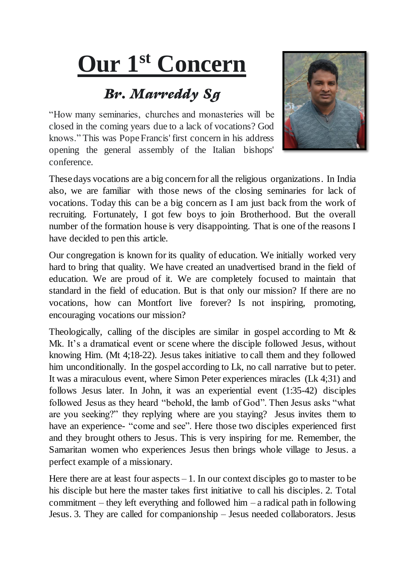## **Our 1st Concern**

## *Br. Marreddy Sg*

"How many seminaries, churches and monasteries will be closed in the coming years due to a lack of vocations? God knows." This was Pope Francis' first concern in his address opening the general assembly of the Italian bishops' conference.



These days vocations are a big concern for all the religious organizations. In India also, we are familiar with those news of the closing seminaries for lack of vocations. Today this can be a big concern as I am just back from the work of recruiting. Fortunately, I got few boys to join Brotherhood. But the overall number of the formation house is very disappointing. That is one of the reasons I have decided to pen this article.

Our congregation is known for its quality of education. We initially worked very hard to bring that quality. We have created an unadvertised brand in the field of education. We are proud of it. We are completely focused to maintain that standard in the field of education. But is that only our mission? If there are no vocations, how can Montfort live forever? Is not inspiring, promoting, encouraging vocations our mission?

Theologically, calling of the disciples are similar in gospel according to Mt & Mk. It's a dramatical event or scene where the disciple followed Jesus, without knowing Him. (Mt 4;18-22). Jesus takes initiative to call them and they followed him unconditionally. In the gospel according to Lk, no call narrative but to peter. It was a miraculous event, where Simon Peter experiences miracles (Lk 4;31) and follows Jesus later. In John, it was an experiential event (1:35-42) disciples followed Jesus as they heard "behold, the lamb of God". Then Jesus asks "what are you seeking?" they replying where are you staying? Jesus invites them to have an experience- "come and see". Here those two disciples experienced first and they brought others to Jesus. This is very inspiring for me. Remember, the Samaritan women who experiences Jesus then brings whole village to Jesus. a perfect example of a missionary.

Here there are at least four aspects  $-1$ . In our context disciples go to master to be his disciple but here the master takes first initiative to call his disciples. 2. Total commitment – they left everything and followed him – a radical path in following Jesus. 3. They are called for companionship – Jesus needed collaborators. Jesus